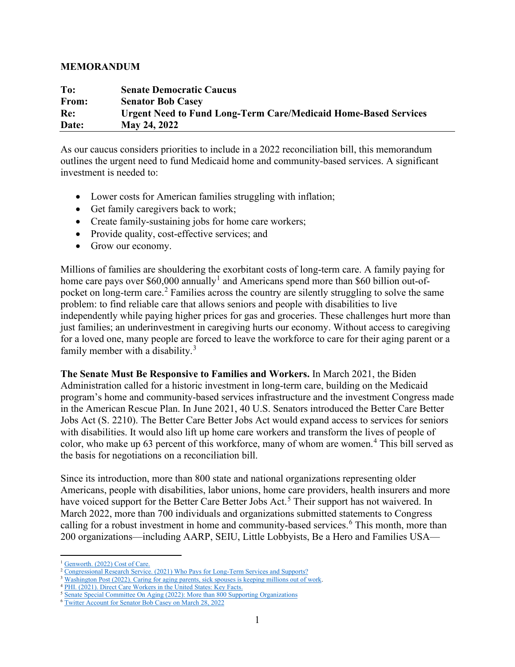## **MEMORANDUM**

| To:   | <b>Senate Democratic Caucus</b>                                        |
|-------|------------------------------------------------------------------------|
| From: | <b>Senator Bob Casey</b>                                               |
| Re:   | <b>Urgent Need to Fund Long-Term Care/Medicaid Home-Based Services</b> |
| Date: | <b>May 24, 2022</b>                                                    |

As our caucus considers priorities to include in a 2022 reconciliation bill, this memorandum outlines the urgent need to fund Medicaid home and community-based services. A significant investment is needed to:

- Lower costs for American families struggling with inflation;
- Get family caregivers back to work;
- Create family-sustaining jobs for home care workers;
- Provide quality, cost-effective services; and
- Grow our economy.

Millions of families are shouldering the exorbitant costs of long-term care. A family paying for home care pays over  $$60,000$  annually<sup>[1](#page-0-0)</sup> and Americans spend more than \$60 billion out-of-pocket on long-term care.<sup>[2](#page-0-1)</sup> Families across the country are silently struggling to solve the same problem: to find reliable care that allows seniors and people with disabilities to live independently while paying higher prices for gas and groceries. These challenges hurt more than just families; an underinvestment in caregiving hurts our economy. Without access to caregiving for a loved one, many people are forced to leave the workforce to care for their aging parent or a family member with a disability. $3$ 

**The Senate Must Be Responsive to Families and Workers.** In March 2021, the Biden Administration called for a historic investment in long-term care, building on the Medicaid program's home and community-based services infrastructure and the investment Congress made in the American Rescue Plan. In June 2021, 40 U.S. Senators introduced the Better Care Better Jobs Act (S. 2210). The Better Care Better Jobs Act would expand access to services for seniors with disabilities. It would also lift up home care workers and transform the lives of people of color, who make up 63 percent of this workforce, many of whom are women.<sup>[4](#page-0-3)</sup> This bill served as the basis for negotiations on a reconciliation bill.

Since its introduction, more than 800 state and national organizations representing older Americans, people with disabilities, labor unions, home care providers, health insurers and more have voiced support for the Better Care Better Jobs Act.<sup>[5](#page-0-4)</sup> Their support has not waivered. In March 2022, more than 700 individuals and organizations submitted statements to Congress calling for a robust investment in home and community-based services.<sup>[6](#page-0-5)</sup> This month, more than 200 organizations—including AARP, SEIU, Little Lobbyists, Be a Hero and Families USA—

<span id="page-0-0"></span><sup>&</sup>lt;sup>1</sup> Genworth. (2022) Cost of Care.<br><sup>2</sup> Congressi<u>onal Research Service. (2021) Who Pays for Long-Term Services and Supports?</u>

<span id="page-0-2"></span><span id="page-0-1"></span><sup>&</sup>lt;sup>3</sup> Washington Post (2022). Caring for aging parents, sick spouses is keeping millions out of work.<br><sup>4</sup> PHI. (2021). Direct Care Workers in the United States: Key Facts.

<span id="page-0-3"></span>

<span id="page-0-4"></span><sup>&</sup>lt;sup>5</sup> Senate Special Committee On Aging (2022): More than 800 Supporting Organizations <sup>6</sup> Twitter Account for Senator Bob Casey on March 28, 2022

<span id="page-0-5"></span>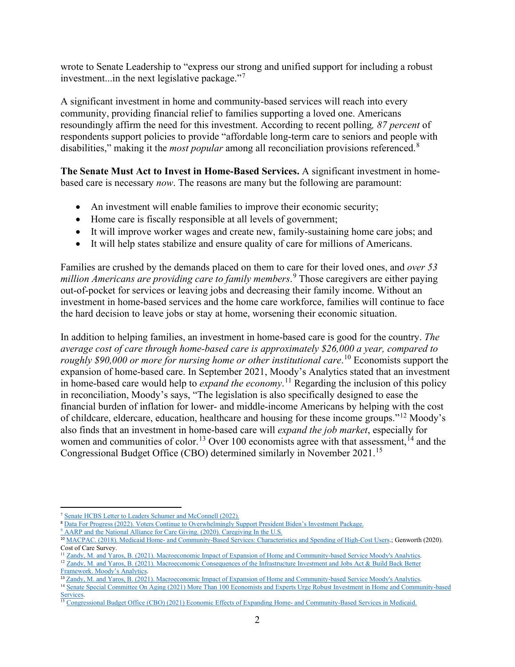wrote to Senate Leadership to "express our strong and unified support for including a robust investment...in the next legislative package."<sup>[7](#page-1-0)</sup>

A significant investment in home and community-based services will reach into every community, providing financial relief to families supporting a loved one. Americans resoundingly affirm the need for this investment. According to recent polling*, 87 percent* of respondents support policies to provide "affordable long-term care to seniors and people with disabilities," making it the *most popular* among all reconciliation provisions referenced.[8](#page-1-1)

**The Senate Must Act to Invest in Home-Based Services.** A significant investment in homebased care is necessary *now*. The reasons are many but the following are paramount:

- An investment will enable families to improve their economic security;
- Home care is fiscally responsible at all levels of government;
- It will improve worker wages and create new, family-sustaining home care jobs; and
- It will help states stabilize and ensure quality of care for millions of Americans.

Families are crushed by the demands placed on them to care for their loved ones, and *over 53 million Americans are providing care to family members*. [9](#page-1-2) Those caregivers are either paying out-of-pocket for services or leaving jobs and decreasing their family income. Without an investment in home-based services and the home care workforce, families will continue to face the hard decision to leave jobs or stay at home, worsening their economic situation.

In addition to helping families, an investment in home-based care is good for the country. *The average cost of care through home-based care is approximately \$26,000 a year, compared to roughly \$90,000 or more for nursing home or other institutional care*. [10](#page-1-3) Economists support the expansion of home-based care. In September 2021, Moody's Analytics stated that an investment in home-based care would help to *expand the economy*. [11](#page-1-4) Regarding the inclusion of this policy in reconciliation, Moody's says, "The legislation is also specifically designed to ease the financial burden of inflation for lower- and middle-income Americans by helping with the cost of childcare, eldercare, education, healthcare and housing for these income groups."[12](#page-1-5) Moody's also finds that an investment in home-based care will *expand the job market*, especially for women and communities of color.<sup>[13](#page-1-6)</sup> Over 100 economists agree with that assessment,<sup>[14](#page-1-7)</sup> and the Congressional Budget Office (CBO) determined similarly in November 2021.[15](#page-1-8)

<span id="page-1-0"></span><sup>7</sup> [Senate HCBS Letter to Leaders Schumer and McConnell \(2022\).](https://docs.google.com/document/d/1W9YbKcp2Q81nnWORcLsK5f-TJbeV9Zp-/edit) 

<span id="page-1-1"></span><sup>8</sup> [Data For Progress \(2022\). Voters Continue to Overwhelmingly Support President Biden's Investment Package.](https://www.dataforprogress.org/blog/2022/5/3/voters-coverwhelmingly-support-bidens-investment-package)

<span id="page-1-2"></span><sup>&</sup>lt;sup>9</sup> [AARP and the National Alliance for Care Giving. \(2020\). Caregiving In the U.S.](https://www.caregiving.org/wp-content/uploads/2020/05/Full-Report-Caregiving-in-the-United-States-2020.pdf)

<span id="page-1-3"></span><sup>&</sup>lt;sup>10</sup> [MACPAC. \(2018\). Medicaid Home- and Community-Based Services: Characteristics and Spending of High-Cost Users.;](https://www.macpac.gov/wp-content/uploads/2018/06/Medicaid-HCBS-Characteristics-and-Spending.pdf) Genworth (2020). Cost of Care Survey.<br><sup>11</sup> Zandy, M. and Yaros, B. (2021). Macroeconomic Impact of Expansion of Home and Community-based Service Moody's Analytics.

<span id="page-1-4"></span><sup>&</sup>lt;sup>12</sup> Zandy, M. and Yaros, B. (2021). Macroeconomic Consequences of the Infrastructure Investment and Jobs Act & Build Back Better

<span id="page-1-6"></span><span id="page-1-5"></span>[Framework. Moody's Analytics.](https://www.moodysanalytics.com/-/media/article/2021/macroeconomic-consequences-of-the-infrastructure-investment-and-jobs-act-and-build-back-better-framework.pdf)<br><sup>13</sup> Zandy, M. and Yaros, B. (2021). Macroeconomic Impact of Expansion of Home and Community-based Service Moody's Analytics.

<span id="page-1-7"></span><sup>&</sup>lt;sup>14</sup> Senate Special Committee On Aging (2021) More Than 100 Economists and Experts Urge Robust Investment in Home and Community-based [Services.](https://www.casey.senate.gov/news/releases/icymi-more-than-100-economists-and-experts-urge-robust-investment-in-home-and-community-based-services)<br><sup>15</sup> [Congressional Budget Office \(CBO\) \(2021\) Economic Effects of Expanding Home- and Community-Based Services in Medicaid.](https://www.cbo.gov/system/files/2021-11/57632-Medicaid.pdf)

<span id="page-1-8"></span>